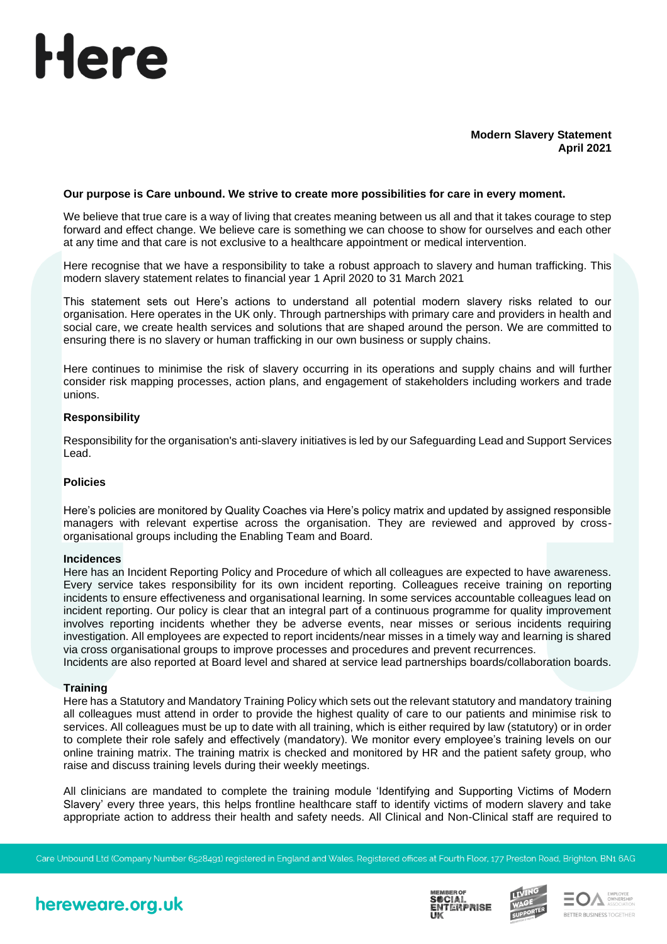# Here

# **Modern Slavery Statement April 2021**

# **Our purpose is Care unbound. We strive to create more possibilities for care in every moment.**

We believe that true care is a way of living that creates meaning between us all and that it takes courage to step forward and effect change. We believe care is something we can choose to show for ourselves and each other at any time and that care is not exclusive to a healthcare appointment or medical intervention.

Here recognise that we have a responsibility to take a robust approach to slavery and human trafficking. This modern slavery statement relates to financial year 1 April 2020 to 31 March 2021

This statement sets out Here's actions to understand all potential modern slavery risks related to our organisation. Here operates in the UK only. Through partnerships with primary care and providers in health and social care, we create health services and solutions that are shaped around the person. We are committed to ensuring there is no slavery or human trafficking in our own business or supply chains.

Here continues to minimise the risk of slavery occurring in its operations and supply chains and will further consider risk mapping processes, action plans, and engagement of stakeholders including workers and trade unions.

# **Responsibility**

Responsibility for the organisation's anti-slavery initiatives is led by our Safeguarding Lead and Support Services Lead.

#### **Policies**

Here's policies are monitored by Quality Coaches via Here's policy matrix and updated by assigned responsible managers with relevant expertise across the organisation. They are reviewed and approved by crossorganisational groups including the Enabling Team and Board.

#### **Incidences**

Here has an Incident Reporting Policy and Procedure of which all colleagues are expected to have awareness. Every service takes responsibility for its own incident reporting. Colleagues receive training on reporting incidents to ensure effectiveness and organisational learning. In some services accountable colleagues lead on incident reporting. Our policy is clear that an integral part of a continuous programme for quality improvement involves reporting incidents whether they be adverse events, near misses or serious incidents requiring investigation. All employees are expected to report incidents/near misses in a timely way and learning is shared via cross organisational groups to improve processes and procedures and prevent recurrences.

Incidents are also reported at Board level and shared at service lead partnerships boards/collaboration boards.

#### **Training**

Here has a Statutory and Mandatory Training Policy which sets out the relevant statutory and mandatory training all colleagues must attend in order to provide the highest quality of care to our patients and minimise risk to services. All colleagues must be up to date with all training, which is either required by law (statutory) or in order to complete their role safely and effectively (mandatory). We monitor every employee's training levels on our online training matrix. The training matrix is checked and monitored by HR and the patient safety group, who raise and discuss training levels during their weekly meetings.

All clinicians are mandated to complete the training module 'Identifying and Supporting Victims of Modern Slavery' every three years, this helps frontline healthcare staff to identify victims of modern slavery and take appropriate action to address their health and safety needs. All Clinical and Non-Clinical staff are required to

Care Unbound Ltd (Company Number 6528491) registered in England and Wales. Registered offices at Fourth Floor, 177 Preston Road, Brighton, BN1 6AG

# hereweare.org.uk